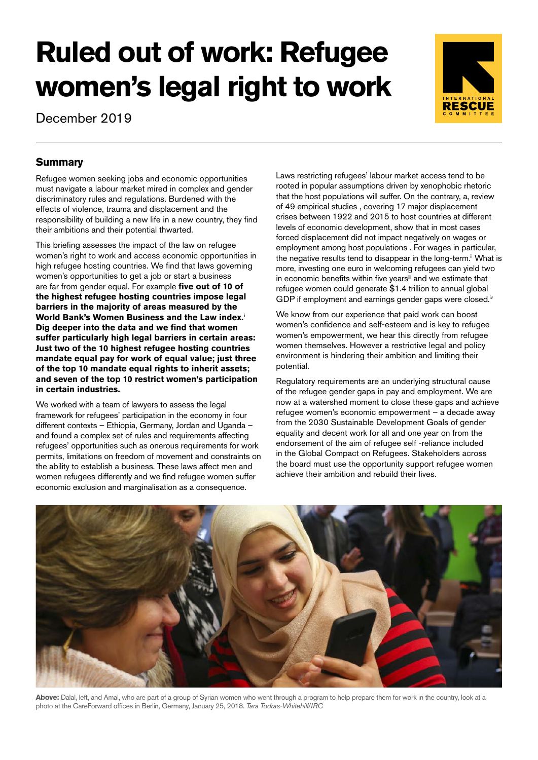# **Ruled out of work: Refugee women's legal right to work**

December 2019



# **Summary**

Refugee women seeking jobs and economic opportunities must navigate a labour market mired in complex and gender discriminatory rules and regulations. Burdened with the effects of violence, trauma and displacement and the responsibility of building a new life in a new country, they find their ambitions and their potential thwarted.

This briefing assesses the impact of the law on refugee women's right to work and access economic opportunities in high refugee hosting countries. We find that laws governing women's opportunities to get a job or start a business are far from gender equal. For example **five out of 10 of the highest refugee hosting countries impose legal barriers in the majority of areas measured by the World Bank's Women Business and the Law index.i Dig deeper into the data and we find that women suffer particularly high legal barriers in certain areas: Just two of the 10 highest refugee hosting countries mandate equal pay for work of equal value; just three of the top 10 mandate equal rights to inherit assets; and seven of the top 10 restrict women's participation in certain industries.** 

We worked with a team of lawyers to assess the legal framework for refugees' participation in the economy in four different contexts – Ethiopia, Germany, Jordan and Uganda – and found a complex set of rules and requirements affecting refugees' opportunities such as onerous requirements for work permits, limitations on freedom of movement and constraints on the ability to establish a business. These laws affect men and women refugees differently and we find refugee women suffer economic exclusion and marginalisation as a consequence.

Laws restricting refugees' labour market access tend to be rooted in popular assumptions driven by xenophobic rhetoric that the host populations will suffer. On the contrary, a, review of 49 empirical studies , covering 17 major displacement crises between 1922 and 2015 to host countries at different levels of economic development, show that in most cases forced displacement did not impact negatively on wages or employment among host populations . For wages in particular, the negative results tend to disappear in the long-term.<sup>ii</sup> What is more, investing one euro in welcoming refugees can yield two in economic benefits within five years<sup>iii</sup> and we estimate that refugee women could generate \$1.4 trillion to annual global GDP if employment and earnings gender gaps were closed.<sup>iv</sup>

We know from our experience that paid work can boost women's confidence and self-esteem and is key to refugee women's empowerment, we hear this directly from refugee women themselves. However a restrictive legal and policy environment is hindering their ambition and limiting their potential.

Regulatory requirements are an underlying structural cause of the refugee gender gaps in pay and employment. We are now at a watershed moment to close these gaps and achieve refugee women's economic empowerment – a decade away from the 2030 Sustainable Development Goals of gender equality and decent work for all and one year on from the endorsement of the aim of refugee self -reliance included in the Global Compact on Refugees. Stakeholders across the board must use the opportunity support refugee women achieve their ambition and rebuild their lives.



**Above:** Dalal, left, and Amal, who are part of a group of Syrian women who went through a program to help prepare them for work in the country, look at a photo at the CareForward offices in Berlin, Germany, January 25, 2018. *Tara Todras-Whitehill/IRC*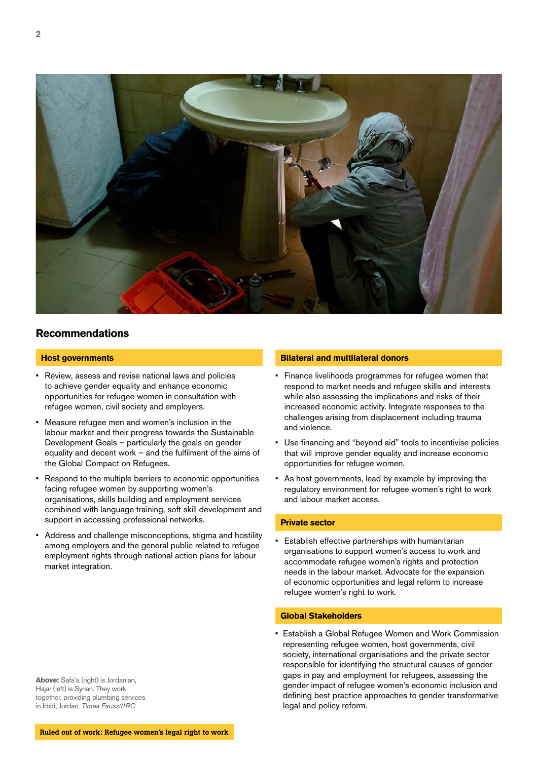

# **Recommendations**

#### **Host governments**

- Review, assess and revise national laws and policies to achieve gender equality and enhance economic opportunities for refugee women in consultation with refugee women, civil society and employers.
- Measure refugee men and women's inclusion in the labour market and their progress towards the Sustainable Development Goals – particularly the goals on gender equality and decent work – and the fulfilment of the aims of the Global Compact on Refugees.
- Respond to the multiple barriers to economic opportunities facing refugee women by supporting women's organisations, skills building and employment services combined with language training, soft skill development and support in accessing professional networks.
- Address and challenge misconceptions, stigma and hostility among employers and the general public related to refugee employment rights through national action plans for labour market integration.

#### **Above:** Safa'a (right) is Jordanian, Hajar (left) is Syrian. They work together, providing plumbing services in Irbid, Jordan. *Timea Fauszt/IRC*

#### **Bilateral and multilateral donors**

- Finance livelihoods programmes for refugee women that respond to market needs and refugee skills and interests while also assessing the implications and risks of their increased economic activity. Integrate responses to the challenges arising from displacement including trauma and violence.
- Use financing and "beyond aid" tools to incentivise policies that will improve gender equality and increase economic opportunities for refugee women.
- As host governments, lead by example by improving the regulatory environment for refugee women's right to work and labour market access.

#### **Private sector**

Establish effective partnerships with humanitarian organisations to support women's access to work and accommodate refugee women's rights and protection needs in the labour market. Advocate for the expansion of economic opportunities and legal reform to increase refugee women's right to work.

#### **Global Stakeholders**

• Establish a Global Refugee Women and Work Commission representing refugee women, host governments, civil society, international organisations and the private sector responsible for identifying the structural causes of gender gaps in pay and employment for refugees, assessing the gender impact of refugee women's economic inclusion and defining best practice approaches to gender transformative legal and policy reform.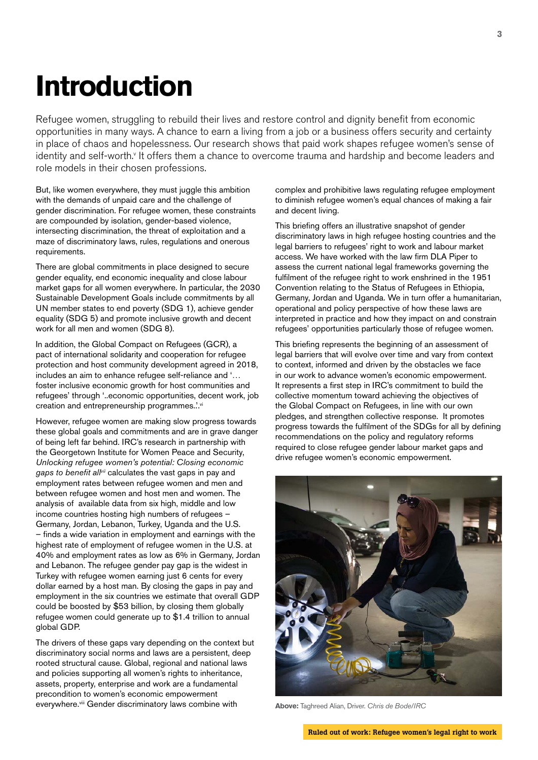# **Introduction**

Refugee women, struggling to rebuild their lives and restore control and dignity benefit from economic opportunities in many ways. A chance to earn a living from a job or a business offers security and certainty in place of chaos and hopelessness. Our research shows that paid work shapes refugee women's sense of identity and self-worth.<sup>v</sup> It offers them a chance to overcome trauma and hardship and become leaders and role models in their chosen professions.

But, like women everywhere, they must juggle this ambition with the demands of unpaid care and the challenge of gender discrimination. For refugee women, these constraints are compounded by isolation, gender-based violence, intersecting discrimination, the threat of exploitation and a maze of discriminatory laws, rules, regulations and onerous requirements.

There are global commitments in place designed to secure gender equality, end economic inequality and close labour market gaps for all women everywhere. In particular, the 2030 Sustainable Development Goals include commitments by all UN member states to end poverty (SDG 1), achieve gender equality (SDG 5) and promote inclusive growth and decent work for all men and women (SDG 8).

In addition, the Global Compact on Refugees (GCR), a pact of international solidarity and cooperation for refugee protection and host community development agreed in 2018, includes an aim to enhance refugee self-reliance and '… foster inclusive economic growth for host communities and refugees' through '..economic opportunities, decent work, job creation and entrepreneurship programmes.".vi

However, refugee women are making slow progress towards these global goals and commitments and are in grave danger of being left far behind. IRC's research in partnership with the Georgetown Institute for Women Peace and Security, *Unlocking refugee women's potential: Closing economic gaps to benefit allvii* calculates the vast gaps in pay and employment rates between refugee women and men and between refugee women and host men and women. The analysis of available data from six high, middle and low income countries hosting high numbers of refugees – Germany, Jordan, Lebanon, Turkey, Uganda and the U.S. – finds a wide variation in employment and earnings with the highest rate of employment of refugee women in the U.S. at 40% and employment rates as low as 6% in Germany, Jordan and Lebanon. The refugee gender pay gap is the widest in Turkey with refugee women earning just 6 cents for every dollar earned by a host man. By closing the gaps in pay and employment in the six countries we estimate that overall GDP could be boosted by \$53 billion, by closing them globally refugee women could generate up to \$1.4 trillion to annual global GDP.

The drivers of these gaps vary depending on the context but discriminatory social norms and laws are a persistent, deep rooted structural cause. Global, regional and national laws and policies supporting all women's rights to inheritance, assets, property, enterprise and work are a fundamental precondition to women's economic empowerment everywhere.<sup>viii</sup> Gender discriminatory laws combine with

complex and prohibitive laws regulating refugee employment to diminish refugee women's equal chances of making a fair and decent living.

This briefing offers an illustrative snapshot of gender discriminatory laws in high refugee hosting countries and the legal barriers to refugees' right to work and labour market access. We have worked with the law firm DLA Piper to assess the current national legal frameworks governing the fulfilment of the refugee right to work enshrined in the 1951 Convention relating to the Status of Refugees in Ethiopia, Germany, Jordan and Uganda. We in turn offer a humanitarian, operational and policy perspective of how these laws are interpreted in practice and how they impact on and constrain refugees' opportunities particularly those of refugee women.

This briefing represents the beginning of an assessment of legal barriers that will evolve over time and vary from context to context, informed and driven by the obstacles we face in our work to advance women's economic empowerment. It represents a first step in IRC's commitment to build the collective momentum toward achieving the objectives of the Global Compact on Refugees, in line with our own pledges, and strengthen collective response. It promotes progress towards the fulfilment of the SDGs for all by defining recommendations on the policy and regulatory reforms required to close refugee gender labour market gaps and drive refugee women's economic empowerment.



**Above:** Taghreed Alian, Driver. *Chris de Bode/IRC*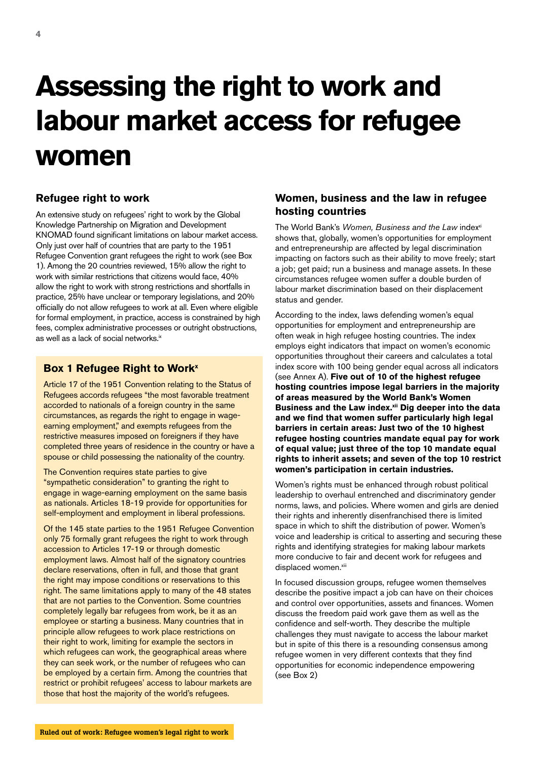# **Assessing the right to work and labour market access for refugee women**

# **Refugee right to work**

An extensive study on refugees' right to work by the Global Knowledge Partnership on Migration and Development KNOMAD found significant limitations on labour market access. Only just over half of countries that are party to the 1951 Refugee Convention grant refugees the right to work (see Box 1). Among the 20 countries reviewed, 15% allow the right to work with similar restrictions that citizens would face, 40% allow the right to work with strong restrictions and shortfalls in practice, 25% have unclear or temporary legislations, and 20% officially do not allow refugees to work at all. Even where eligible for formal employment, in practice, access is constrained by high fees, complex administrative processes or outright obstructions, as well as a lack of social networks.<sup>ix</sup>

### **Box 1 Refugee Right to Work**<sup>x</sup>

Article 17 of the 1951 Convention relating to the Status of Refugees accords refugees "the most favorable treatment accorded to nationals of a foreign country in the same circumstances, as regards the right to engage in wageearning employment," and exempts refugees from the restrictive measures imposed on foreigners if they have completed three years of residence in the country or have a spouse or child possessing the nationality of the country.

The Convention requires state parties to give "sympathetic consideration" to granting the right to engage in wage-earning employment on the same basis as nationals. Articles 18-19 provide for opportunities for self-employment and employment in liberal professions.

Of the 145 state parties to the 1951 Refugee Convention only 75 formally grant refugees the right to work through accession to Articles 17-19 or through domestic employment laws. Almost half of the signatory countries declare reservations, often in full, and those that grant the right may impose conditions or reservations to this right. The same limitations apply to many of the 48 states that are not parties to the Convention. Some countries completely legally bar refugees from work, be it as an employee or starting a business. Many countries that in principle allow refugees to work place restrictions on their right to work, limiting for example the sectors in which refugees can work, the geographical areas where they can seek work, or the number of refugees who can be employed by a certain firm. Among the countries that restrict or prohibit refugees' access to labour markets are those that host the majority of the world's refugees.

# **Women, business and the law in refugee hosting countries**

The World Bank's Women, Business and the Law index<sup>xi</sup> shows that, globally, women's opportunities for employment and entrepreneurship are affected by legal discrimination impacting on factors such as their ability to move freely; start a job; get paid; run a business and manage assets. In these circumstances refugee women suffer a double burden of labour market discrimination based on their displacement status and gender.

According to the index, laws defending women's equal opportunities for employment and entrepreneurship are often weak in high refugee hosting countries. The index employs eight indicators that impact on women's economic opportunities throughout their careers and calculates a total index score with 100 being gender equal across all indicators (see Annex A). **Five out of 10 of the highest refugee hosting countries impose legal barriers in the majority of areas measured by the World Bank's Women**  Business and the Law index.<sup>xii</sup> Dig deeper into the data **and we find that women suffer particularly high legal barriers in certain areas: Just two of the 10 highest refugee hosting countries mandate equal pay for work of equal value; just three of the top 10 mandate equal rights to inherit assets; and seven of the top 10 restrict women's participation in certain industries.** 

Women's rights must be enhanced through robust political leadership to overhaul entrenched and discriminatory gender norms, laws, and policies. Where women and girls are denied their rights and inherently disenfranchised there is limited space in which to shift the distribution of power. Women's voice and leadership is critical to asserting and securing these rights and identifying strategies for making labour markets more conducive to fair and decent work for refugees and displaced women.xiii

In focused discussion groups, refugee women themselves describe the positive impact a job can have on their choices and control over opportunities, assets and finances. Women discuss the freedom paid work gave them as well as the confidence and self-worth. They describe the multiple challenges they must navigate to access the labour market but in spite of this there is a resounding consensus among refugee women in very different contexts that they find opportunities for economic independence empowering (see Box 2)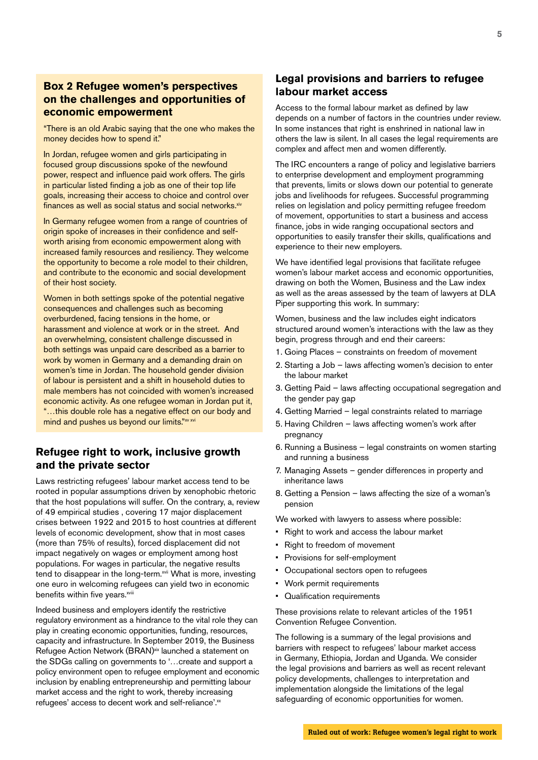# **Box 2 Refugee women's perspectives on the challenges and opportunities of economic empowerment**

"There is an old Arabic saying that the one who makes the money decides how to spend it."

In Jordan, refugee women and girls participating in focused group discussions spoke of the newfound power, respect and influence paid work offers. The girls in particular listed finding a job as one of their top life goals, increasing their access to choice and control over  $f$ inances as well as social status and social networks. $x$ iv

In Germany refugee women from a range of countries of origin spoke of increases in their confidence and selfworth arising from economic empowerment along with increased family resources and resiliency. They welcome the opportunity to become a role model to their children, and contribute to the economic and social development of their host society.

Women in both settings spoke of the potential negative consequences and challenges such as becoming overburdened, facing tensions in the home, or harassment and violence at work or in the street. And an overwhelming, consistent challenge discussed in both settings was unpaid care described as a barrier to work by women in Germany and a demanding drain on women's time in Jordan. The household gender division of labour is persistent and a shift in household duties to male members has not coincided with women's increased economic activity. As one refugee woman in Jordan put it, "…this double role has a negative effect on our body and mind and pushes us beyond our limits."xv xvi

# **Refugee right to work, inclusive growth and the private sector**

Laws restricting refugees' labour market access tend to be rooted in popular assumptions driven by xenophobic rhetoric that the host populations will suffer. On the contrary, a, review of 49 empirical studies , covering 17 major displacement crises between 1922 and 2015 to host countries at different levels of economic development, show that in most cases (more than 75% of results), forced displacement did not impact negatively on wages or employment among host populations. For wages in particular, the negative results tend to disappear in the long-term.<sup>xvii</sup> What is more, investing one euro in welcoming refugees can yield two in economic benefits within five years.xviii

Indeed business and employers identify the restrictive regulatory environment as a hindrance to the vital role they can play in creating economic opportunities, funding, resources, capacity and infrastructure. In September 2019, the Business Refugee Action Network (BRAN)<sup>xix</sup> launched a statement on the SDGs calling on governments to '…create and support a policy environment open to refugee employment and economic inclusion by enabling entrepreneurship and permitting labour market access and the right to work, thereby increasing refugees' access to decent work and self-reliance'.<sup>xx</sup>

### **Legal provisions and barriers to refugee labour market access**

Access to the formal labour market as defined by law depends on a number of factors in the countries under review. In some instances that right is enshrined in national law in others the law is silent. In all cases the legal requirements are complex and affect men and women differently.

The IRC encounters a range of policy and legislative barriers to enterprise development and employment programming that prevents, limits or slows down our potential to generate jobs and livelihoods for refugees. Successful programming relies on legislation and policy permitting refugee freedom of movement, opportunities to start a business and access finance, jobs in wide ranging occupational sectors and opportunities to easily transfer their skills, qualifications and experience to their new employers.

We have identified legal provisions that facilitate refugee women's labour market access and economic opportunities, drawing on both the Women, Business and the Law index as well as the areas assessed by the team of lawyers at DLA Piper supporting this work. In summary:

Women, business and the law includes eight indicators structured around women's interactions with the law as they begin, progress through and end their careers:

- 1. Going Places constraints on freedom of movement
- 2. Starting a Job laws affecting women's decision to enter the labour market
- 3. Getting Paid laws affecting occupational segregation and the gender pay gap
- 4. Getting Married legal constraints related to marriage
- 5. Having Children laws affecting women's work after pregnancy
- 6. Running a Business legal constraints on women starting and running a business
- 7. Managing Assets gender differences in property and inheritance laws
- 8. Getting a Pension laws affecting the size of a woman's pension

We worked with lawyers to assess where possible:

- Right to work and access the labour market
- Right to freedom of movement
- Provisions for self-employment
- Occupational sectors open to refugees
- Work permit requirements
- Qualification requirements

These provisions relate to relevant articles of the 1951 Convention Refugee Convention.

The following is a summary of the legal provisions and barriers with respect to refugees' labour market access in Germany, Ethiopia, Jordan and Uganda. We consider the legal provisions and barriers as well as recent relevant policy developments, challenges to interpretation and implementation alongside the limitations of the legal safeguarding of economic opportunities for women.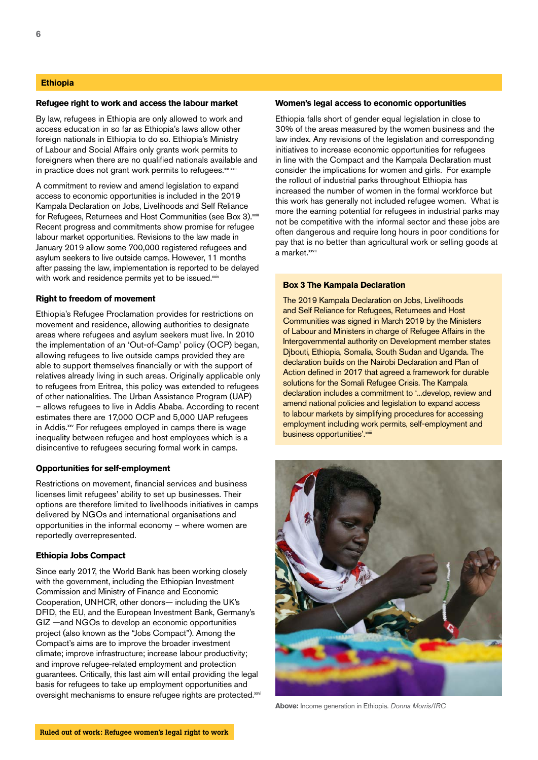#### **Ethiopia**

#### **Refugee right to work and access the labour market**

By law, refugees in Ethiopia are only allowed to work and access education in so far as Ethiopia's laws allow other foreign nationals in Ethiopia to do so. Ethiopia's Ministry of Labour and Social Affairs only grants work permits to foreigners when there are no qualified nationals available and in practice does not grant work permits to refugees.<sup>xxi xxii</sup>

A commitment to review and amend legislation to expand access to economic opportunities is included in the 2019 Kampala Declaration on Jobs, Livelihoods and Self Reliance for Refugees, Returnees and Host Communities (see Box 3).<sup>xxiii</sup> Recent progress and commitments show promise for refugee labour market opportunities. Revisions to the law made in January 2019 allow some 700,000 registered refugees and asylum seekers to live outside camps. However, 11 months after passing the law, implementation is reported to be delayed with work and residence permits yet to be issued.xxiv

#### **Right to freedom of movement**

Ethiopia's Refugee Proclamation provides for restrictions on movement and residence, allowing authorities to designate areas where refugees and asylum seekers must live. In 2010 the implementation of an 'Out-of-Camp' policy (OCP) began, allowing refugees to live outside camps provided they are able to support themselves financially or with the support of relatives already living in such areas. Originally applicable only to refugees from Eritrea, this policy was extended to refugees of other nationalities. The Urban Assistance Program (UAP) – allows refugees to live in Addis Ababa. According to recent estimates there are 17,000 OCP and 5,000 UAP refugees in Addis.<sup>xxv</sup> For refugees employed in camps there is wage inequality between refugee and host employees which is a disincentive to refugees securing formal work in camps.

#### **Opportunities for self-employment**

Restrictions on movement, financial services and business licenses limit refugees' ability to set up businesses. Their options are therefore limited to livelihoods initiatives in camps delivered by NGOs and international organisations and opportunities in the informal economy – where women are reportedly overrepresented.

#### **Ethiopia Jobs Compact**

Since early 2017, the World Bank has been working closely with the government, including the Ethiopian Investment Commission and Ministry of Finance and Economic Cooperation, UNHCR, other donors— including the UK's DFID, the EU, and the European Investment Bank, Germany's GIZ —and NGOs to develop an economic opportunities project (also known as the "Jobs Compact"). Among the Compact's aims are to improve the broader investment climate; improve infrastructure; increase labour productivity; and improve refugee-related employment and protection guarantees. Critically, this last aim will entail providing the legal basis for refugees to take up employment opportunities and oversight mechanisms to ensure refugee rights are protected.xxvi

#### **Women's legal access to economic opportunities**

Ethiopia falls short of gender equal legislation in close to 30% of the areas measured by the women business and the law index. Any revisions of the legislation and corresponding initiatives to increase economic opportunities for refugees in line with the Compact and the Kampala Declaration must consider the implications for women and girls. For example the rollout of industrial parks throughout Ethiopia has increased the number of women in the formal workforce but this work has generally not included refugee women. What is more the earning potential for refugees in industrial parks may not be competitive with the informal sector and these jobs are often dangerous and require long hours in poor conditions for pay that is no better than agricultural work or selling goods at a market.<sup>xxvii</sup>

#### **Box 3 The Kampala Declaration**

The 2019 Kampala Declaration on Jobs, Livelihoods and Self Reliance for Refugees, Returnees and Host Communities was signed in March 2019 by the Ministers of Labour and Ministers in charge of Refugee Affairs in the Intergovernmental authority on Development member states Djbouti, Ethiopia, Somalia, South Sudan and Uganda. The declaration builds on the Nairobi Declaration and Plan of Action defined in 2017 that agreed a framework for durable solutions for the Somali Refugee Crisis. The Kampala declaration includes a commitment to '...develop, review and amend national policies and legislation to expand access to labour markets by simplifying procedures for accessing employment including work permits, self-employment and business opportunities'.xxiii



**Above:** Income generation in Ethiopia. *Donna Morris/IRC*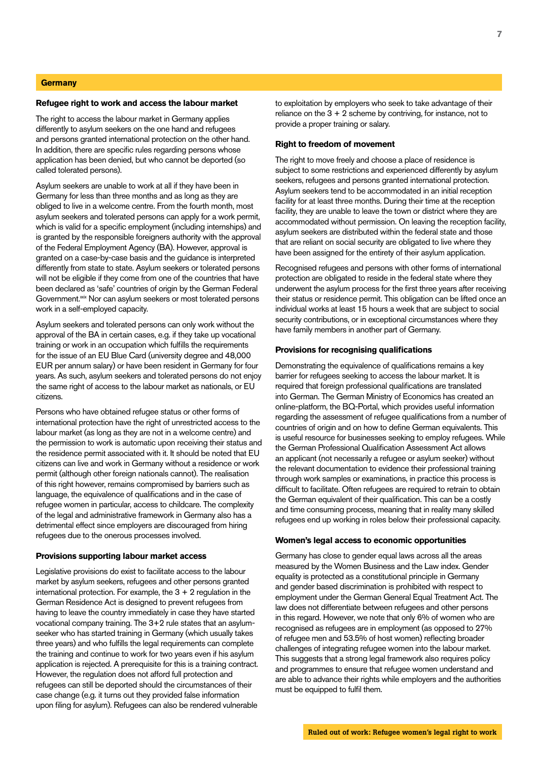#### **Germany**

#### **Refugee right to work and access the labour market**

The right to access the labour market in Germany applies differently to asylum seekers on the one hand and refugees and persons granted international protection on the other hand. In addition, there are specific rules regarding persons whose application has been denied, but who cannot be deported (so called tolerated persons).

Asylum seekers are unable to work at all if they have been in Germany for less than three months and as long as they are obliged to live in a welcome centre. From the fourth month, most asylum seekers and tolerated persons can apply for a work permit, which is valid for a specific employment (including internships) and is granted by the responsible foreigners authority with the approval of the Federal Employment Agency (BA). However, approval is granted on a case-by-case basis and the guidance is interpreted differently from state to state. Asylum seekers or tolerated persons will not be eligible if they come from one of the countries that have been declared as 'safe' countries of origin by the German Federal Government.<sup>xxix</sup> Nor can asylum seekers or most tolerated persons work in a self-employed capacity.

Asylum seekers and tolerated persons can only work without the approval of the BA in certain cases, e.g. if they take up vocational training or work in an occupation which fulfills the requirements for the issue of an EU Blue Card (university degree and 48,000 EUR per annum salary) or have been resident in Germany for four years. As such, asylum seekers and tolerated persons do not enjoy the same right of access to the labour market as nationals, or EU citizens.

Persons who have obtained refugee status or other forms of international protection have the right of unrestricted access to the labour market (as long as they are not in a welcome centre) and the permission to work is automatic upon receiving their status and the residence permit associated with it. It should be noted that EU citizens can live and work in Germany without a residence or work permit (although other foreign nationals cannot). The realisation of this right however, remains compromised by barriers such as language, the equivalence of qualifications and in the case of refugee women in particular, access to childcare. The complexity of the legal and administrative framework in Germany also has a detrimental effect since employers are discouraged from hiring refugees due to the onerous processes involved.

#### **Provisions supporting labour market access**

Legislative provisions do exist to facilitate access to the labour market by asylum seekers, refugees and other persons granted international protection. For example, the  $3 + 2$  regulation in the German Residence Act is designed to prevent refugees from having to leave the country immediately in case they have started vocational company training. The 3+2 rule states that an asylumseeker who has started training in Germany (which usually takes three years) and who fulfills the legal requirements can complete the training and continue to work for two years even if his asylum application is rejected. A prerequisite for this is a training contract. However, the regulation does not afford full protection and refugees can still be deported should the circumstances of their case change (e.g. it turns out they provided false information upon filing for asylum). Refugees can also be rendered vulnerable

to exploitation by employers who seek to take advantage of their reliance on the  $3 + 2$  scheme by contriving, for instance, not to provide a proper training or salary.

#### **Right to freedom of movement**

The right to move freely and choose a place of residence is subject to some restrictions and experienced differently by asylum seekers, refugees and persons granted international protection. Asylum seekers tend to be accommodated in an initial reception facility for at least three months. During their time at the reception facility, they are unable to leave the town or district where they are accommodated without permission. On leaving the reception facility, asylum seekers are distributed within the federal state and those that are reliant on social security are obligated to live where they have been assigned for the entirety of their asylum application.

Recognised refugees and persons with other forms of international protection are obligated to reside in the federal state where they underwent the asylum process for the first three years after receiving their status or residence permit. This obligation can be lifted once an individual works at least 15 hours a week that are subject to social security contributions, or in exceptional circumstances where they have family members in another part of Germany.

#### **Provisions for recognising qualifications**

Demonstrating the equivalence of qualifications remains a key barrier for refugees seeking to access the labour market. It is required that foreign professional qualifications are translated into German. The German Ministry of Economics has created an online-platform, the BQ-Portal, which provides useful information regarding the assessment of refugee qualifications from a number of countries of origin and on how to define German equivalents. This is useful resource for businesses seeking to employ refugees. While the German Professional Qualification Assessment Act allows an applicant (not necessarily a refugee or asylum seeker) without the relevant documentation to evidence their professional training through work samples or examinations, in practice this process is difficult to facilitate. Often refugees are required to retrain to obtain the German equivalent of their qualification. This can be a costly and time consuming process, meaning that in reality many skilled refugees end up working in roles below their professional capacity.

#### **Women's legal access to economic opportunities**

Germany has close to gender equal laws across all the areas measured by the Women Business and the Law index. Gender equality is protected as a constitutional principle in Germany and gender based discrimination is prohibited with respect to employment under the German General Equal Treatment Act. The law does not differentiate between refugees and other persons in this regard. However, we note that only 6% of women who are recognised as refugees are in employment (as opposed to 27% of refugee men and 53.5% of host women) reflecting broader challenges of integrating refugee women into the labour market. This suggests that a strong legal framework also requires policy and programmes to ensure that refugee women understand and are able to advance their rights while employers and the authorities must be equipped to fulfil them.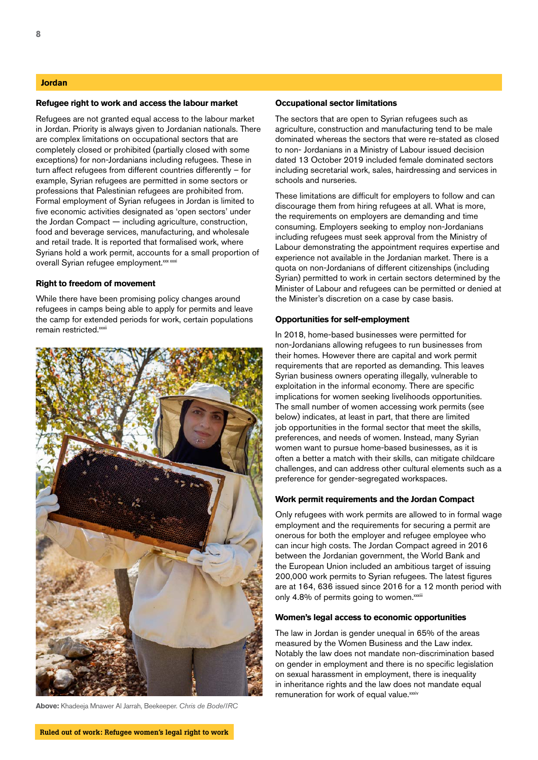#### **Jordan**

#### **Refugee right to work and access the labour market**

Refugees are not granted equal access to the labour market in Jordan. Priority is always given to Jordanian nationals. There are complex limitations on occupational sectors that are completely closed or prohibited (partially closed with some exceptions) for non-Jordanians including refugees. These in turn affect refugees from different countries differently – for example, Syrian refugees are permitted in some sectors or professions that Palestinian refugees are prohibited from. Formal employment of Syrian refugees in Jordan is limited to five economic activities designated as 'open sectors' under the Jordan Compact — including agriculture, construction, food and beverage services, manufacturing, and wholesale and retail trade. It is reported that formalised work, where Syrians hold a work permit, accounts for a small proportion of overall Syrian refugee employment. xxx xxxi

#### **Right to freedom of movement**

While there have been promising policy changes around refugees in camps being able to apply for permits and leave the camp for extended periods for work, certain populations remain restricted.<sup>xxxii</sup>



**Above:** Khadeeja Mnawer Al Jarrah, Beekeeper. *Chris de Bode/IRC*

#### **Occupational sector limitations**

The sectors that are open to Syrian refugees such as agriculture, construction and manufacturing tend to be male dominated whereas the sectors that were re-stated as closed to non- Jordanians in a Ministry of Labour issued decision dated 13 October 2019 included female dominated sectors including secretarial work, sales, hairdressing and services in schools and nurseries.

These limitations are difficult for employers to follow and can discourage them from hiring refugees at all. What is more, the requirements on employers are demanding and time consuming. Employers seeking to employ non-Jordanians including refugees must seek approval from the Ministry of Labour demonstrating the appointment requires expertise and experience not available in the Jordanian market. There is a quota on non-Jordanians of different citizenships (including Syrian) permitted to work in certain sectors determined by the Minister of Labour and refugees can be permitted or denied at the Minister's discretion on a case by case basis.

#### **Opportunities for self-employment**

In 2018, home-based businesses were permitted for non-Jordanians allowing refugees to run businesses from their homes. However there are capital and work permit requirements that are reported as demanding. This leaves Syrian business owners operating illegally, vulnerable to exploitation in the informal economy. There are specific implications for women seeking livelihoods opportunities. The small number of women accessing work permits (see below) indicates, at least in part, that there are limited job opportunities in the formal sector that meet the skills, preferences, and needs of women. Instead, many Syrian women want to pursue home-based businesses, as it is often a better a match with their skills, can mitigate childcare challenges, and can address other cultural elements such as a preference for gender-segregated workspaces.

#### **Work permit requirements and the Jordan Compact**

Only refugees with work permits are allowed to in formal wage employment and the requirements for securing a permit are onerous for both the employer and refugee employee who can incur high costs. The Jordan Compact agreed in 2016 between the Jordanian government, the World Bank and the European Union included an ambitious target of issuing 200,000 work permits to Syrian refugees. The latest figures are at 164, 636 issued since 2016 for a 12 month period with only 4.8% of permits going to women.xxxiii

#### **Women's legal access to economic opportunities**

The law in Jordan is gender unequal in 65% of the areas measured by the Women Business and the Law index. Notably the law does not mandate non-discrimination based on gender in employment and there is no specific legislation on sexual harassment in employment, there is inequality in inheritance rights and the law does not mandate equal remuneration for work of equal value.xxxiv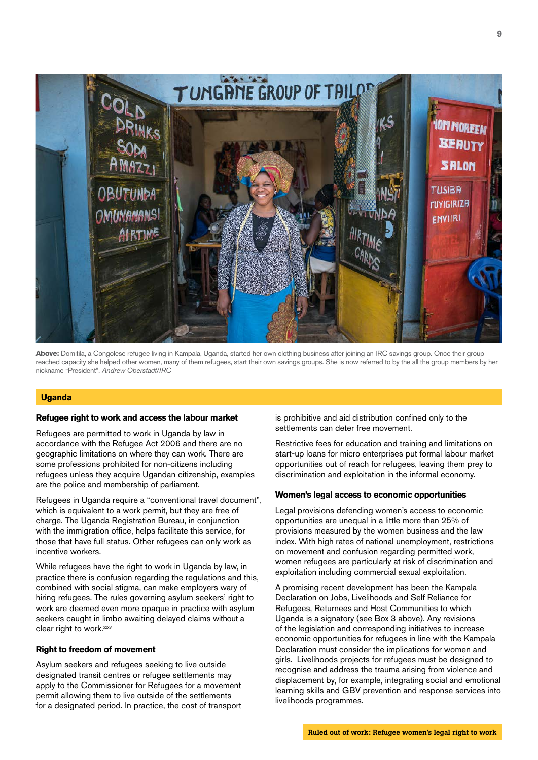

**Above:** Domitila, a Congolese refugee living in Kampala, Uganda, started her own clothing business after joining an IRC savings group. Once their group reached capacity she helped other women, many of them refugees, start their own savings groups. She is now referred to by the all the group members by her nickname "President". *Andrew Oberstadt/IRC*

#### **Uganda**

#### **Refugee right to work and access the labour market**

Refugees are permitted to work in Uganda by law in accordance with the Refugee Act 2006 and there are no geographic limitations on where they can work. There are some professions prohibited for non-citizens including refugees unless they acquire Ugandan citizenship, examples are the police and membership of parliament.

Refugees in Uganda require a "conventional travel document", which is equivalent to a work permit, but they are free of charge. The Uganda Registration Bureau, in conjunction with the immigration office, helps facilitate this service, for those that have full status. Other refugees can only work as incentive workers.

While refugees have the right to work in Uganda by law, in practice there is confusion regarding the regulations and this, combined with social stigma, can make employers wary of hiring refugees. The rules governing asylum seekers' right to work are deemed even more opaque in practice with asylum seekers caught in limbo awaiting delayed claims without a clear right to work.<sup>xxxv</sup>

#### **Right to freedom of movement**

Asylum seekers and refugees seeking to live outside designated transit centres or refugee settlements may apply to the Commissioner for Refugees for a movement permit allowing them to live outside of the settlements for a designated period. In practice, the cost of transport

is prohibitive and aid distribution confined only to the settlements can deter free movement.

Restrictive fees for education and training and limitations on start-up loans for micro enterprises put formal labour market opportunities out of reach for refugees, leaving them prey to discrimination and exploitation in the informal economy.

#### **Women's legal access to economic opportunities**

Legal provisions defending women's access to economic opportunities are unequal in a little more than 25% of provisions measured by the women business and the law index. With high rates of national unemployment, restrictions on movement and confusion regarding permitted work, women refugees are particularly at risk of discrimination and exploitation including commercial sexual exploitation.

A promising recent development has been the Kampala Declaration on Jobs, Livelihoods and Self Reliance for Refugees, Returnees and Host Communities to which Uganda is a signatory (see Box 3 above). Any revisions of the legislation and corresponding initiatives to increase economic opportunities for refugees in line with the Kampala Declaration must consider the implications for women and girls. Livelihoods projects for refugees must be designed to recognise and address the trauma arising from violence and displacement by, for example, integrating social and emotional learning skills and GBV prevention and response services into livelihoods programmes.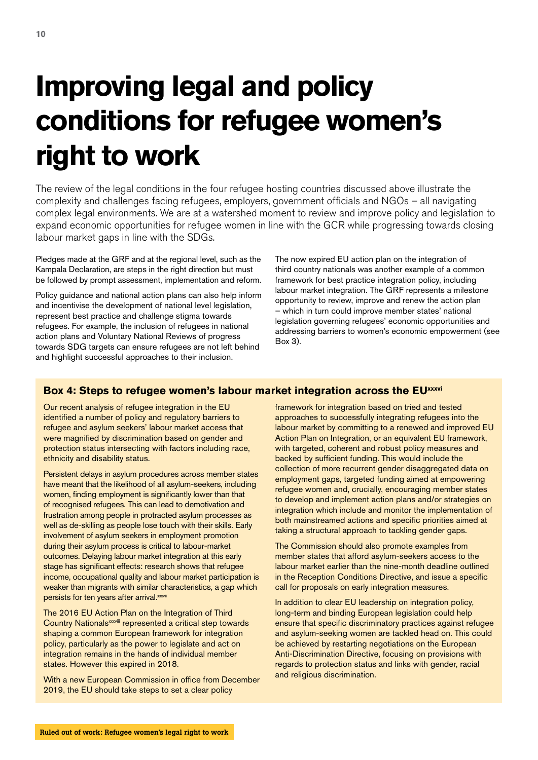# **Improving legal and policy conditions for refugee women's right to work**

The review of the legal conditions in the four refugee hosting countries discussed above illustrate the complexity and challenges facing refugees, employers, government officials and NGOs – all navigating complex legal environments. We are at a watershed moment to review and improve policy and legislation to expand economic opportunities for refugee women in line with the GCR while progressing towards closing labour market gaps in line with the SDGs.

Pledges made at the GRF and at the regional level, such as the Kampala Declaration, are steps in the right direction but must be followed by prompt assessment, implementation and reform.

Policy guidance and national action plans can also help inform and incentivise the development of national level legislation, represent best practice and challenge stigma towards refugees. For example, the inclusion of refugees in national action plans and Voluntary National Reviews of progress towards SDG targets can ensure refugees are not left behind and highlight successful approaches to their inclusion.

The now expired EU action plan on the integration of third country nationals was another example of a common framework for best practice integration policy, including labour market integration. The GRF represents a milestone opportunity to review, improve and renew the action plan – which in turn could improve member states' national legislation governing refugees' economic opportunities and addressing barriers to women's economic empowerment (see Box 3).

# **Box 4: Steps to refugee women's labour market integration across the EU<sup>xxxvi</sup>**

Our recent analysis of refugee integration in the EU identified a number of policy and regulatory barriers to refugee and asylum seekers' labour market access that were magnified by discrimination based on gender and protection status intersecting with factors including race, ethnicity and disability status.

Persistent delays in asylum procedures across member states have meant that the likelihood of all asylum-seekers, including women, finding employment is significantly lower than that of recognised refugees. This can lead to demotivation and frustration among people in protracted asylum processes as well as de-skilling as people lose touch with their skills. Early involvement of asylum seekers in employment promotion during their asylum process is critical to labour-market outcomes. Delaying labour market integration at this early stage has significant effects: research shows that refugee income, occupational quality and labour market participation is weaker than migrants with similar characteristics, a gap which persists for ten years after arrival.xxxvii

The 2016 EU Action Plan on the Integration of Third Country Nationalsxxxviii represented a critical step towards shaping a common European framework for integration policy, particularly as the power to legislate and act on integration remains in the hands of individual member states. However this expired in 2018.

With a new European Commission in office from December 2019, the EU should take steps to set a clear policy

framework for integration based on tried and tested approaches to successfully integrating refugees into the labour market by committing to a renewed and improved EU Action Plan on Integration, or an equivalent EU framework, with targeted, coherent and robust policy measures and backed by sufficient funding. This would include the collection of more recurrent gender disaggregated data on employment gaps, targeted funding aimed at empowering refugee women and, crucially, encouraging member states to develop and implement action plans and/or strategies on integration which include and monitor the implementation of both mainstreamed actions and specific priorities aimed at taking a structural approach to tackling gender gaps.

The Commission should also promote examples from member states that afford asylum-seekers access to the labour market earlier than the nine-month deadline outlined in the Reception Conditions Directive, and issue a specific call for proposals on early integration measures.

In addition to clear EU leadership on integration policy, long-term and binding European legislation could help ensure that specific discriminatory practices against refugee and asylum-seeking women are tackled head on. This could be achieved by restarting negotiations on the European Anti-Discrimination Directive, focusing on provisions with regards to protection status and links with gender, racial and religious discrimination.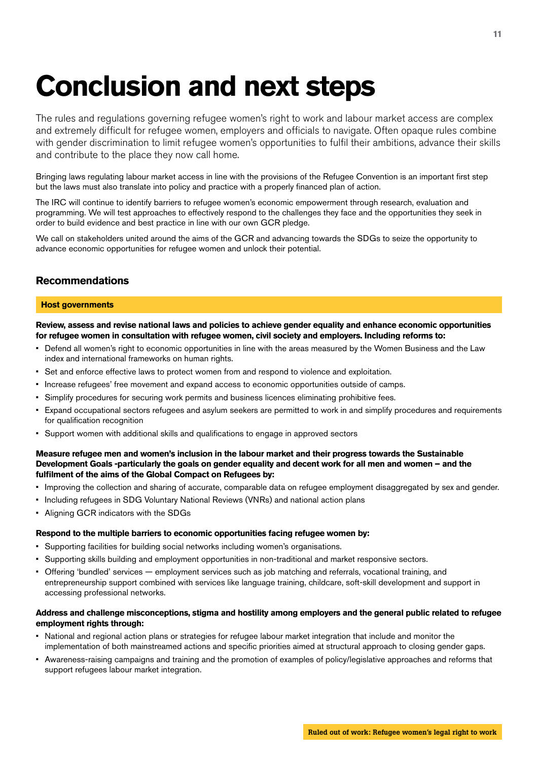# **Conclusion and next steps**

The rules and regulations governing refugee women's right to work and labour market access are complex and extremely difficult for refugee women, employers and officials to navigate. Often opaque rules combine with gender discrimination to limit refugee women's opportunities to fulfil their ambitions, advance their skills and contribute to the place they now call home.

Bringing laws regulating labour market access in line with the provisions of the Refugee Convention is an important first step but the laws must also translate into policy and practice with a properly financed plan of action.

The IRC will continue to identify barriers to refugee women's economic empowerment through research, evaluation and programming. We will test approaches to effectively respond to the challenges they face and the opportunities they seek in order to build evidence and best practice in line with our own GCR pledge.

We call on stakeholders united around the aims of the GCR and advancing towards the SDGs to seize the opportunity to advance economic opportunities for refugee women and unlock their potential.

# **Recommendations**

#### **Host governments**

**Review, assess and revise national laws and policies to achieve gender equality and enhance economic opportunities for refugee women in consultation with refugee women, civil society and employers. Including reforms to:**

- Defend all women's right to economic opportunities in line with the areas measured by the Women Business and the Law index and international frameworks on human rights.
- Set and enforce effective laws to protect women from and respond to violence and exploitation.
- Increase refugees' free movement and expand access to economic opportunities outside of camps.
- Simplify procedures for securing work permits and business licences eliminating prohibitive fees.
- Expand occupational sectors refugees and asylum seekers are permitted to work in and simplify procedures and requirements for qualification recognition
- Support women with additional skills and qualifications to engage in approved sectors

#### **Measure refugee men and women's inclusion in the labour market and their progress towards the Sustainable Development Goals -particularly the goals on gender equality and decent work for all men and women – and the fulfilment of the aims of the Global Compact on Refugees by:**

- Improving the collection and sharing of accurate, comparable data on refugee employment disaggregated by sex and gender.
- Including refugees in SDG Voluntary National Reviews (VNRs) and national action plans
- Aligning GCR indicators with the SDGs

#### **Respond to the multiple barriers to economic opportunities facing refugee women by:**

- Supporting facilities for building social networks including women's organisations.
- Supporting skills building and employment opportunities in non-traditional and market responsive sectors.
- Offering 'bundled' services employment services such as job matching and referrals, vocational training, and entrepreneurship support combined with services like language training, childcare, soft-skill development and support in accessing professional networks.

#### **Address and challenge misconceptions, stigma and hostility among employers and the general public related to refugee employment rights through:**

- National and regional action plans or strategies for refugee labour market integration that include and monitor the implementation of both mainstreamed actions and specific priorities aimed at structural approach to closing gender gaps.
- Awareness-raising campaigns and training and the promotion of examples of policy/legislative approaches and reforms that support refugees labour market integration.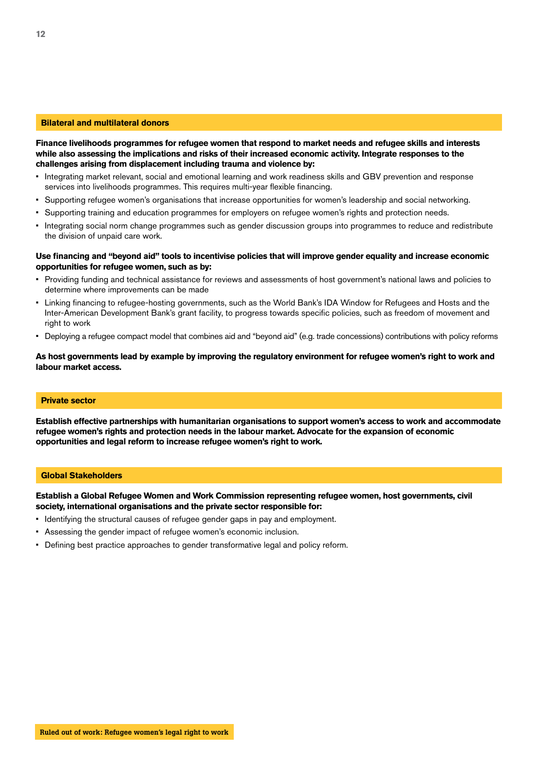#### **Bilateral and multilateral donors**

**Finance livelihoods programmes for refugee women that respond to market needs and refugee skills and interests while also assessing the implications and risks of their increased economic activity. Integrate responses to the challenges arising from displacement including trauma and violence by:**

- Integrating market relevant, social and emotional learning and work readiness skills and GBV prevention and response services into livelihoods programmes. This requires multi-year flexible financing.
- Supporting refugee women's organisations that increase opportunities for women's leadership and social networking.
- Supporting training and education programmes for employers on refugee women's rights and protection needs.
- Integrating social norm change programmes such as gender discussion groups into programmes to reduce and redistribute the division of unpaid care work.

#### **Use financing and "beyond aid" tools to incentivise policies that will improve gender equality and increase economic opportunities for refugee women, such as by:**

- Providing funding and technical assistance for reviews and assessments of host government's national laws and policies to determine where improvements can be made
- Linking financing to refugee-hosting governments, such as the World Bank's IDA Window for Refugees and Hosts and the Inter-American Development Bank's grant facility, to progress towards specific policies, such as freedom of movement and right to work
- Deploying a refugee compact model that combines aid and "beyond aid" (e.g. trade concessions) contributions with policy reforms

#### **As host governments lead by example by improving the regulatory environment for refugee women's right to work and labour market access.**

#### **Private sector**

**Establish effective partnerships with humanitarian organisations to support women's access to work and accommodate refugee women's rights and protection needs in the labour market. Advocate for the expansion of economic opportunities and legal reform to increase refugee women's right to work.** 

#### **Global Stakeholders**

**Establish a Global Refugee Women and Work Commission representing refugee women, host governments, civil society, international organisations and the private sector responsible for:**

- Identifying the structural causes of refugee gender gaps in pay and employment.
- Assessing the gender impact of refugee women's economic inclusion.
- Defining best practice approaches to gender transformative legal and policy reform.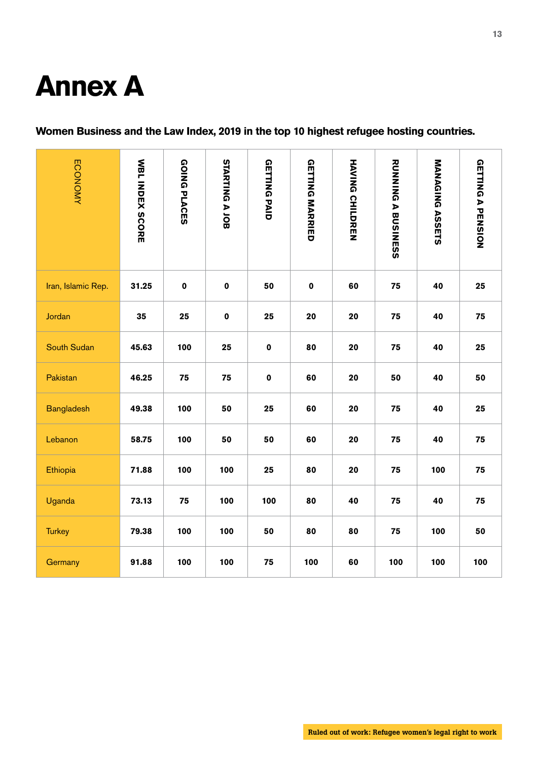# **Annex A**

# **Women Business and the Law Index, 2019 in the top 10 highest refugee hosting countries.**

| <b>ECONOMY</b>     | <b>WBLINDEX SCORE</b> | <b>GOING PLACES</b> | STARTING A JOB | <b>GETTING PAID</b> | <b>GETTING MARRIED</b> | <b>HAVING CHILDREN</b> | <b>RUNING A BUSINESS</b> | <b>MANAGING ASSETS</b> | <b>GETTING A PENSION</b> |
|--------------------|-----------------------|---------------------|----------------|---------------------|------------------------|------------------------|--------------------------|------------------------|--------------------------|
| Iran, Islamic Rep. | 31.25                 | $\pmb{0}$           | $\pmb{0}$      | 50                  | 0                      | 60                     | 75                       | 40                     | 25                       |
| Jordan             | 35                    | 25                  | $\pmb{0}$      | 25                  | 20                     | 20                     | 75                       | 40                     | 75                       |
| <b>South Sudan</b> | 45.63                 | 100                 | 25             | $\pmb{0}$           | 80                     | 20                     | 75                       | 40                     | 25                       |
| Pakistan           | 46.25                 | 75                  | 75             | $\pmb{0}$           | 60                     | 20                     | 50                       | 40                     | 50                       |
| <b>Bangladesh</b>  | 49.38                 | 100                 | 50             | 25                  | 60                     | 20                     | 75                       | 40                     | 25                       |
| Lebanon            | 58.75                 | 100                 | 50             | 50                  | 60                     | 20                     | 75                       | 40                     | 75                       |
| Ethiopia           | 71.88                 | 100                 | 100            | 25                  | 80                     | 20                     | 75                       | 100                    | 75                       |
| Uganda             | 73.13                 | 75                  | 100            | 100                 | 80                     | 40                     | 75                       | 40                     | 75                       |
| <b>Turkey</b>      | 79.38                 | 100                 | 100            | 50                  | 80                     | 80                     | 75                       | 100                    | 50                       |
| Germany            | 91.88                 | 100                 | 100            | 75                  | 100                    | 60                     | 100                      | 100                    | 100                      |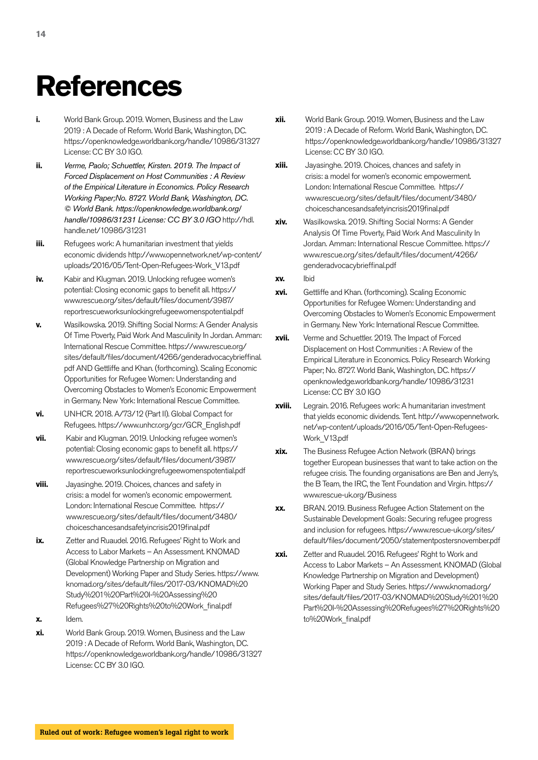# **References**

- **i.** World Bank Group. 2019. Women, Business and the Law 2019 : A Decade of Reform. World Bank, Washington, DC. https://openknowledge.worldbank.org/handle/10986/31327 License: CC BY 3.0 IGO.
- **ii.** *Verme, Paolo; Schuettler, Kirsten. 2019. The Impact of Forced Displacement on Host Communities : A Review of the Empirical Literature in Economics. Policy Research Working Paper;No. 8727. World Bank, Washington, DC. © World Bank. https://openknowledge.worldbank.org/ handle/10986/31231 License: CC BY 3.0 IGO* http://hdl. handle.net/10986/31231
- **iii.** Refugees work: A humanitarian investment that yields economic dividends http://www.opennetwork.net/wp-content/ uploads/2016/05/Tent-Open-Refugees-Work\_V13.pdf
- **iv.** Kabir and Klugman. 2019. Unlocking refugee women's potential: Closing economic gaps to benefit all. https:// www.rescue.org/sites/default/files/document/3987/ reportrescueworksunlockingrefugeewomenspotential.pdf
- **v.** Wasilkowska. 2019. Shifting Social Norms: A Gender Analysis Of Time Poverty, Paid Work And Masculinity In Jordan. Amman: International Rescue Committee. https://www.rescue.org/ sites/default/files/document/4266/genderadvocacybrieffinal. pdf AND Gettliffe and Khan. (forthcoming). Scaling Economic Opportunities for Refugee Women: Understanding and Overcoming Obstacles to Women's Economic Empowerment in Germany. New York: International Rescue Committee.
- **vi.** UNHCR. 2018. A/73/12 (Part II). Global Compact for Refugees. https://www.unhcr.org/gcr/GCR\_English.pdf
- **vii.** Kabir and Klugman. 2019. Unlocking refugee women's potential: Closing economic gaps to benefit all. https:// www.rescue.org/sites/default/files/document/3987/ reportrescueworksunlockingrefugeewomenspotential.pdf
- **viii.** Jayasinghe. 2019. Choices, chances and safety in crisis: a model for women's economic empowerment. London: International Rescue Committee. https:// www.rescue.org/sites/default/files/document/3480/ choiceschancesandsafetyincrisis2019final.pdf
- **ix.** Zetter and Ruaudel. 2016. Refugees' Right to Work and Access to Labor Markets – An Assessment. KNOMAD (Global Knowledge Partnership on Migration and Development) Working Paper and Study Series. https://www. knomad.org/sites/default/files/2017-03/KNOMAD%20 Study%201%20Part%20I-%20Assessing%20 Refugees%27%20Rights%20to%20Work\_final.pdf
- **x.** Idem.
- **xi.** World Bank Group. 2019. Women, Business and the Law 2019 : A Decade of Reform. World Bank, Washington, DC. https://openknowledge.worldbank.org/handle/10986/31327 License: CC BY 3.0 IGO.
- **xii.** World Bank Group. 2019. Women, Business and the Law 2019 : A Decade of Reform. World Bank, Washington, DC. https://openknowledge.worldbank.org/handle/10986/31327 License: CC BY 3.0 IGO.
- **xiii.** Jayasinghe. 2019. Choices, chances and safety in crisis: a model for women's economic empowerment. London: International Rescue Committee. https:// www.rescue.org/sites/default/files/document/3480/ choiceschancesandsafetyincrisis2019final.pdf
- **xiv.** Wasilkowska. 2019. Shifting Social Norms: A Gender Analysis Of Time Poverty, Paid Work And Masculinity In Jordan. Amman: International Rescue Committee. https:// www.rescue.org/sites/default/files/document/4266/ genderadvocacybrieffinal.pdf
- **xv.** Ibid
- **xvi.** Gettliffe and Khan. (forthcoming). Scaling Economic Opportunities for Refugee Women: Understanding and Overcoming Obstacles to Women's Economic Empowerment in Germany. New York: International Rescue Committee.
- **xvii.** Verme and Schuettler. 2019. The Impact of Forced Displacement on Host Communities : A Review of the Empirical Literature in Economics. Policy Research Working Paper; No. 8727. World Bank, Washington, DC. https:// openknowledge.worldbank.org/handle/10986/31231 License: CC BY 3.0 IGO
- **xviii.** Legrain. 2016. Refugees work: A humanitarian investment that yields economic dividends. Tent. http://www.opennetwork. net/wp-content/uploads/2016/05/Tent-Open-Refugees-Work\_V13.pdf
- **xix.** The Business Refugee Action Network (BRAN) brings together European businesses that want to take action on the refugee crisis. The founding organisations are Ben and Jerry's, the B Team, the IRC, the Tent Foundation and Virgin. https:// www.rescue-uk.org/Business
- **xx.** BRAN. 2019. Business Refugee Action Statement on the Sustainable Development Goals: Securing refugee progress and inclusion for refugees. https://www.rescue-uk.org/sites/ default/files/document/2050/statementpostersnovember.pdf
- **xxi.** Zetter and Ruaudel. 2016. Refugees' Right to Work and Access to Labor Markets – An Assessment. KNOMAD (Global Knowledge Partnership on Migration and Development) Working Paper and Study Series. https://www.knomad.org/ sites/default/files/2017-03/KNOMAD%20Study%201%20 Part%20I-%20Assessing%20Refugees%27%20Rights%20 to%20Work\_final.pdf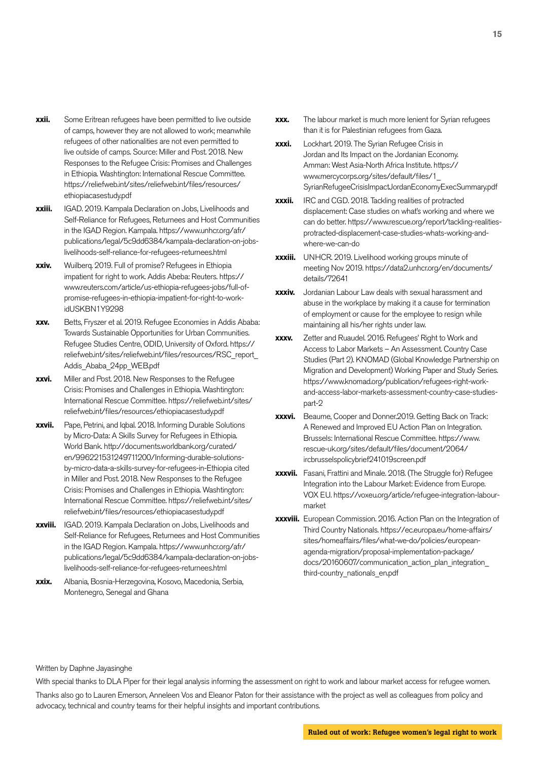- **xxii.** Some Eritrean refugees have been permitted to live outside of camps, however they are not allowed to work; meanwhile refugees of other nationalities are not even permitted to live outside of camps. Source: Miller and Post. 2018. New Responses to the Refugee Crisis: Promises and Challenges in Ethiopia. Washtington: International Rescue Committee. https://reliefweb.int/sites/reliefweb.int/files/resources/ ethiopiacasestudy.pdf
- **xxiii.** IGAD. 2019. Kampala Declaration on Jobs, Livelihoods and Self-Reliance for Refugees, Returnees and Host Communities in the IGAD Region. Kampala. https://www.unhcr.org/afr/ publications/legal/5c9dd6384/kampala-declaration-on-jobslivelihoods-self-reliance-for-refugees-returnees.html
- **xxiv.** Wuilberq. 2019. Full of promise? Refugees in Ethiopia impatient for right to work. Addis Abeba: Reuters. https:// www.reuters.com/article/us-ethiopia-refugees-jobs/full-ofpromise-refugees-in-ethiopia-impatient-for-right-to-workidUSKBN1Y9298
- **xxv.** Betts, Fryszer et al. 2019. Refugee Economies in Addis Ababa: Towards Sustainable Opportunities for Urban Communities. Refugee Studies Centre, ODID, University of Oxford. https:// reliefweb.int/sites/reliefweb.int/files/resources/RSC\_report\_ Addis\_Ababa\_24pp\_WEB.pdf
- **xxvi.** Miller and Post. 2018. New Responses to the Refugee Crisis: Promises and Challenges in Ethiopia. Washtington: International Rescue Committee. https://reliefweb.int/sites/ reliefweb.int/files/resources/ethiopiacasestudy.pdf
- **xxvii.** Pape, Petrini, and Iqbal. 2018. Informing Durable Solutions by Micro-Data: A Skills Survey for Refugees in Ethiopia. World Bank. http://documents.worldbank.org/curated/ en/996221531249711200/Informing-durable-solutionsby-micro-data-a-skills-survey-for-refugees-in-Ethiopia cited in Miller and Post. 2018. New Responses to the Refugee Crisis: Promises and Challenges in Ethiopia. Washtington: International Rescue Committee. https://reliefweb.int/sites/ reliefweb.int/files/resources/ethiopiacasestudy.pdf
- **xxviii.** IGAD. 2019. Kampala Declaration on Jobs, Livelihoods and Self-Reliance for Refugees, Returnees and Host Communities in the IGAD Region. Kampala. https://www.unhcr.org/afr/ publications/legal/5c9dd6384/kampala-declaration-on-jobslivelihoods-self-reliance-for-refugees-returnees.html
- **xxix.** Albania, Bosnia-Herzegovina, Kosovo, Macedonia, Serbia, Montenegro, Senegal and Ghana
- **xxx.** The labour market is much more lenient for Syrian refugees than it is for Palestinian refugees from Gaza.
- **xxxi.** Lockhart. 2019. The Syrian Refugee Crisis in Jordan and Its Impact on the Jordanian Economy. Amman: West Asia-North Africa Institute. https:// www.mercycorps.org/sites/default/files/1\_ SyrianRefugeeCrisisImpactJordanEconomyExecSummary.pdf
- **xxxii.** IRC and CGD. 2018. Tackling realities of protracted displacement: Case studies on what's working and where we can do better. https://www.rescue.org/report/tackling-realitiesprotracted-displacement-case-studies-whats-working-andwhere-we-can-do
- **xxxiii.** UNHCR. 2019. Livelihood working groups minute of meeting Nov 2019. https://data2.unhcr.org/en/documents/ details/72641
- **xxxiv.** Jordanian Labour Law deals with sexual harassment and abuse in the workplace by making it a cause for termination of employment or cause for the employee to resign while maintaining all his/her rights under law.
- **xxxv.** Zetter and Ruaudel. 2016. Refugees' Right to Work and Access to Labor Markets – An Assessment. Country Case Studies (Part 2). KNOMAD (Global Knowledge Partnership on Migration and Development) Working Paper and Study Series. https://www.knomad.org/publication/refugees-right-workand-access-labor-markets-assessment-country-case-studiespart-2
- **xxxvi.** Beaume, Cooper and Donner.2019. Getting Back on Track: A Renewed and Improved EU Action Plan on Integration. Brussels: International Rescue Committee. https://www. rescue-uk.org/sites/default/files/document/2064/ ircbrusselspolicybrief241019screen.pdf
- **xxxvii.** Fasani, Frattini and Minale. 2018. (The Struggle for) Refugee Integration into the Labour Market: Evidence from Europe. VOX EU. https://voxeu.org/article/refugee-integration-labourmarket
- **xxxviii.** European Commission. 2016. Action Plan on the Integration of Third Country Nationals. https://ec.europa.eu/home-affairs/ sites/homeaffairs/files/what-we-do/policies/europeanagenda-migration/proposal-implementation-package/ docs/20160607/communication\_action\_plan\_integration third-country\_nationals\_en.pdf

#### Written by Daphne Jayasinghe

With special thanks to DLA Piper for their legal analysis informing the assessment on right to work and labour market access for refugee women. Thanks also go to Lauren Emerson, Anneleen Vos and Eleanor Paton for their assistance with the project as well as colleagues from policy and advocacy, technical and country teams for their helpful insights and important contributions.